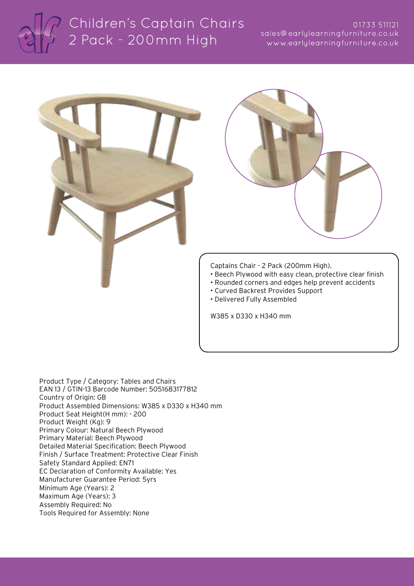

# Children's Captain Chairs 2 Pack - 200mm High

### 01733 511121 sales@earlylearningfurniture.co.uk www.earlylearningfurniture.co.uk





Captains Chair - 2 Pack (200mm High).

- Beech Plywood with easy clean, protective clear finish
- Rounded corners and edges help prevent accidents
- Curved Backrest Provides Support
- Delivered Fully Assembled

W385 x D330 x H340 mm

Product Type / Category: Tables and Chairs EAN 13 / GTIN-13 Barcode Number: 5051683177812 Country of Origin: GB Product Assembled Dimensions: W385 x D330 x H340 mm Product Seat Height(H mm): - 200 Product Weight (Kg): 9 Primary Colour: Natural Beech Plywood Primary Material: Beech Plywood Detailed Material Specification: Beech Plywood Finish / Surface Treatment: Protective Clear Finish Safety Standard Applied: EN71 EC Declaration of Conformity Available: Yes Manufacturer Guarantee Period: 5yrs Minimum Age (Years): 2 Maximum Age (Years): 3 Assembly Required: No Tools Required for Assembly: None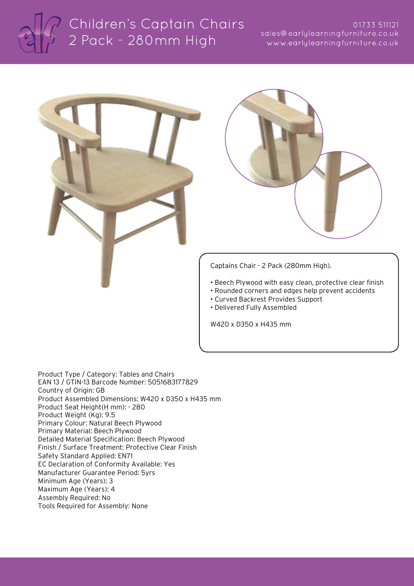

# Children's Captain Chairs 2 Pack - 280mm High

### 01733 511121 sales@earlylearningfurniture.co.uk www.earlylearningfurniture.co.uk





Captains Chair - 2 Pack (280mm High).

- Beech Plywood with easy clean, protective clear finish
- Rounded corners and edges help prevent accidents
- Curved Backrest Provides Support
- Delivered Fully Assembled

W420 x D350 x H435 mm

Product Type / Category: Tables and Chairs EAN 13 / GTIN-13 Barcode Number: 5051683177829 Country of Origin: GB Product Assembled Dimensions: W420 x D350 x H435 mm Product Seat Height(H mm): - 280 Product Weight (Kg): 9.5 Primary Colour: Natural Beech Plywood Primary Material: Beech Plywood Detailed Material Specification: Beech Plywood Finish / Surface Treatment: Protective Clear Finish Safety Standard Applied: EN71 EC Declaration of Conformity Available: Yes Manufacturer Guarantee Period: 5yrs Minimum Age (Years): 3 Maximum Age (Years): 4 Assembly Required: No Tools Required for Assembly: None